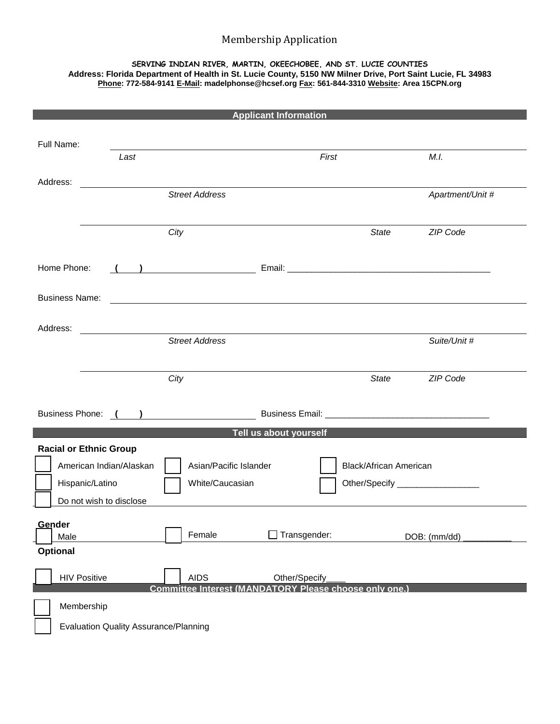## Membership Application

## **SERVING INDIAN RIVER, MARTIN, OKEECHOBEE, AND ST. LUCIE COUNTIES Address: Florida Department of Health in St. Lucie County, 5150 NW Milner Drive, Port Saint Lucie, FL 34983 Phone: 772-584-9141 E-Mail: madelphonse@hcsef.org Fax: 561-844-3310 Website: Area 15CPN.org**

| <b>Applicant Information</b>                           |                                              |      |  |      |                                                                                                                      |  |               |       |                                                        |  |                  |
|--------------------------------------------------------|----------------------------------------------|------|--|------|----------------------------------------------------------------------------------------------------------------------|--|---------------|-------|--------------------------------------------------------|--|------------------|
|                                                        | Full Name:                                   |      |  |      |                                                                                                                      |  |               |       |                                                        |  |                  |
|                                                        |                                              | Last |  |      |                                                                                                                      |  |               | First |                                                        |  | M.I.             |
| Address:                                               |                                              |      |  |      |                                                                                                                      |  |               |       |                                                        |  |                  |
|                                                        |                                              |      |  |      | <b>Street Address</b>                                                                                                |  |               |       |                                                        |  | Apartment/Unit # |
|                                                        |                                              |      |  |      |                                                                                                                      |  |               |       |                                                        |  |                  |
|                                                        |                                              |      |  | City |                                                                                                                      |  |               |       | <b>State</b>                                           |  | ZIP Code         |
| Home Phone:<br><u> 1990 - Johann Barbara, martin a</u> |                                              |      |  |      |                                                                                                                      |  |               |       |                                                        |  |                  |
|                                                        | <b>Business Name:</b>                        |      |  |      | <u> 1989 - Johann Stein, mars an de Frankrik en de Frankrik en de Frankrik en de Frankrik en de Frankrik en de F</u> |  |               |       |                                                        |  |                  |
| Address:                                               |                                              |      |  |      | <b>Street Address</b>                                                                                                |  |               |       |                                                        |  | Suite/Unit #     |
|                                                        |                                              |      |  | City |                                                                                                                      |  |               |       | <b>State</b>                                           |  | <b>ZIP Code</b>  |
|                                                        |                                              |      |  |      |                                                                                                                      |  |               |       |                                                        |  |                  |
| Tell us about yourself                                 |                                              |      |  |      |                                                                                                                      |  |               |       |                                                        |  |                  |
| <b>Racial or Ethnic Group</b>                          |                                              |      |  |      |                                                                                                                      |  |               |       |                                                        |  |                  |
|                                                        | American Indian/Alaskan                      |      |  |      | Asian/Pacific Islander                                                                                               |  |               |       | <b>Black/African American</b>                          |  |                  |
|                                                        | Hispanic/Latino                              |      |  |      | White/Caucasian                                                                                                      |  |               |       | Other/Specify ____________________                     |  |                  |
|                                                        | Do not wish to disclose                      |      |  |      |                                                                                                                      |  |               |       |                                                        |  |                  |
| Gender                                                 |                                              |      |  |      |                                                                                                                      |  |               |       |                                                        |  |                  |
|                                                        | Male<br><b>Optional</b>                      |      |  |      | Female                                                                                                               |  | Transgender:  |       |                                                        |  | DOB: (mm/dd)     |
|                                                        |                                              |      |  |      |                                                                                                                      |  |               |       |                                                        |  |                  |
|                                                        | <b>HIV Positive</b>                          |      |  |      | <b>AIDS</b>                                                                                                          |  | Other/Specify |       |                                                        |  |                  |
|                                                        |                                              |      |  |      |                                                                                                                      |  |               |       | Committee Interest (MANDATORY Please choose only one.) |  |                  |
|                                                        | Membership                                   |      |  |      |                                                                                                                      |  |               |       |                                                        |  |                  |
|                                                        | <b>Evaluation Quality Assurance/Planning</b> |      |  |      |                                                                                                                      |  |               |       |                                                        |  |                  |

Ξ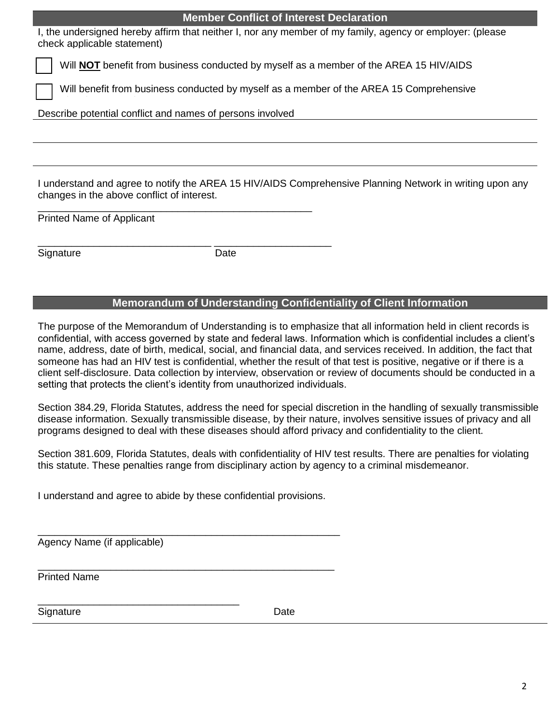|                                                                                                                                                        | <b>Member Conflict of Interest Declaration</b> |  |  |  |  |  |  |  |
|--------------------------------------------------------------------------------------------------------------------------------------------------------|------------------------------------------------|--|--|--|--|--|--|--|
| I, the undersigned hereby affirm that neither I, nor any member of my family, agency or employer: (please<br>check applicable statement)               |                                                |  |  |  |  |  |  |  |
| Will <b>NOT</b> benefit from business conducted by myself as a member of the AREA 15 HIV/AIDS                                                          |                                                |  |  |  |  |  |  |  |
| Will benefit from business conducted by myself as a member of the AREA 15 Comprehensive                                                                |                                                |  |  |  |  |  |  |  |
| Describe potential conflict and names of persons involved                                                                                              |                                                |  |  |  |  |  |  |  |
|                                                                                                                                                        |                                                |  |  |  |  |  |  |  |
|                                                                                                                                                        |                                                |  |  |  |  |  |  |  |
| I understand and agree to notify the AREA 15 HIV/AIDS Comprehensive Planning Network in writing upon any<br>changes in the above conflict of interest. |                                                |  |  |  |  |  |  |  |
| <b>Printed Name of Applicant</b>                                                                                                                       |                                                |  |  |  |  |  |  |  |
| Signature                                                                                                                                              | Date                                           |  |  |  |  |  |  |  |
|                                                                                                                                                        |                                                |  |  |  |  |  |  |  |

## **Memorandum of Understanding Confidentiality of Client Information**

The purpose of the Memorandum of Understanding is to emphasize that all information held in client records is confidential, with access governed by state and federal laws. Information which is confidential includes a client's name, address, date of birth, medical, social, and financial data, and services received. In addition, the fact that someone has had an HIV test is confidential, whether the result of that test is positive, negative or if there is a client self-disclosure. Data collection by interview, observation or review of documents should be conducted in a setting that protects the client's identity from unauthorized individuals.

Section 384.29, Florida Statutes, address the need for special discretion in the handling of sexually transmissible disease information. Sexually transmissible disease, by their nature, involves sensitive issues of privacy and all programs designed to deal with these diseases should afford privacy and confidentiality to the client.

Section 381.609, Florida Statutes, deals with confidentiality of HIV test results. There are penalties for violating this statute. These penalties range from disciplinary action by agency to a criminal misdemeanor.

I understand and agree to abide by these confidential provisions.

\_\_\_\_\_\_\_\_\_\_\_\_\_\_\_\_\_\_\_\_\_\_\_\_\_\_\_\_\_\_\_\_\_\_\_\_\_\_\_\_\_\_\_\_\_\_\_\_\_\_\_\_\_\_

Agency Name (if applicable)

\_\_\_\_\_\_\_\_\_\_\_\_\_\_\_\_\_\_\_\_\_\_\_\_\_\_\_\_\_\_\_\_\_\_\_\_\_\_\_\_\_\_\_\_\_\_\_\_\_\_\_\_\_ Printed Name

\_\_\_\_\_\_\_\_\_\_\_\_\_\_\_\_\_\_\_\_\_\_\_\_\_\_\_\_\_\_\_\_\_\_\_\_ Signature Date